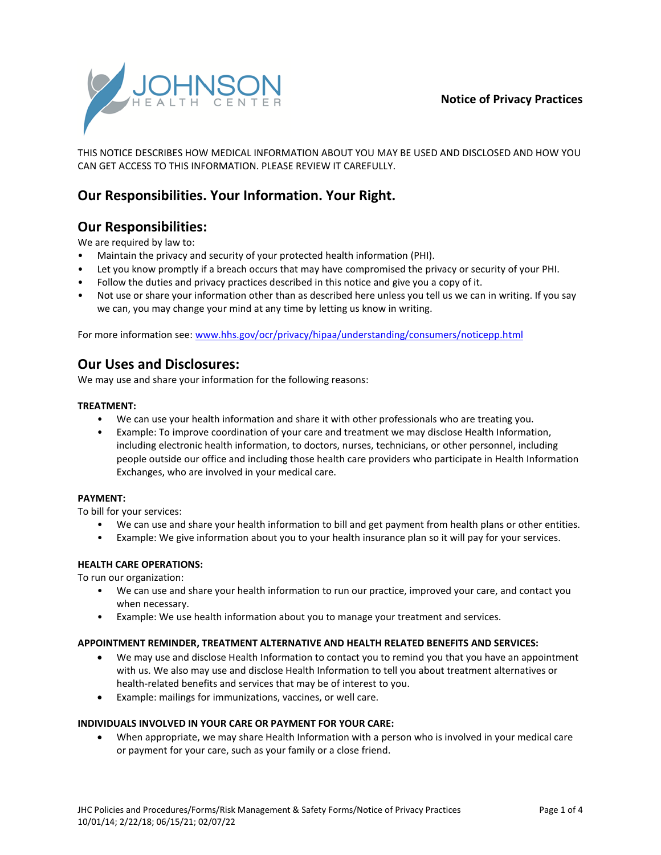### **Notice of Privacy Practices**



THIS NOTICE DESCRIBES HOW MEDICAL INFORMATION ABOUT YOU MAY BE USED AND DISCLOSED AND HOW YOU CAN GET ACCESS TO THIS INFORMATION. PLEASE REVIEW IT CAREFULLY.

# **Our Responsibilities. Your Information. Your Right.**

# **Our Responsibilities:**

We are required by law to:

- Maintain the privacy and security of your protected health information (PHI).
- Let you know promptly if a breach occurs that may have compromised the privacy or security of your PHI.
- Follow the duties and privacy practices described in this notice and give you a copy of it.
- Not use or share your information other than as described here unless you tell us we can in writing. If you say we can, you may change your mind at any time by letting us know in writing.

For more information see: [www.hhs.gov/ocr/privacy/hipaa/understanding/consumers/noticepp.html](http://www.hhs.gov/ocr/privacy/hipaa/understanding/consumers/noticepp.html)

# **Our Uses and Disclosures:**

We may use and share your information for the following reasons:

#### **TREATMENT:**

- We can use your health information and share it with other professionals who are treating you.
- Example: To improve coordination of your care and treatment we may disclose Health Information, including electronic health information, to doctors, nurses, technicians, or other personnel, including people outside our office and including those health care providers who participate in Health Information Exchanges, who are involved in your medical care.

#### **PAYMENT:**

To bill for your services:

- We can use and share your health information to bill and get payment from health plans or other entities.
- Example: We give information about you to your health insurance plan so it will pay for your services.

#### **HEALTH CARE OPERATIONS:**

To run our organization:

- We can use and share your health information to run our practice, improved your care, and contact you when necessary.
- Example: We use health information about you to manage your treatment and services.

#### **APPOINTMENT REMINDER, TREATMENT ALTERNATIVE AND HEALTH RELATED BENEFITS AND SERVICES:**

- We may use and disclose Health Information to contact you to remind you that you have an appointment with us. We also may use and disclose Health Information to tell you about treatment alternatives or health-related benefits and services that may be of interest to you.
- Example: mailings for immunizations, vaccines, or well care.

#### **INDIVIDUALS INVOLVED IN YOUR CARE OR PAYMENT FOR YOUR CARE:**

 When appropriate, we may share Health Information with a person who is involved in your medical care or payment for your care, such as your family or a close friend.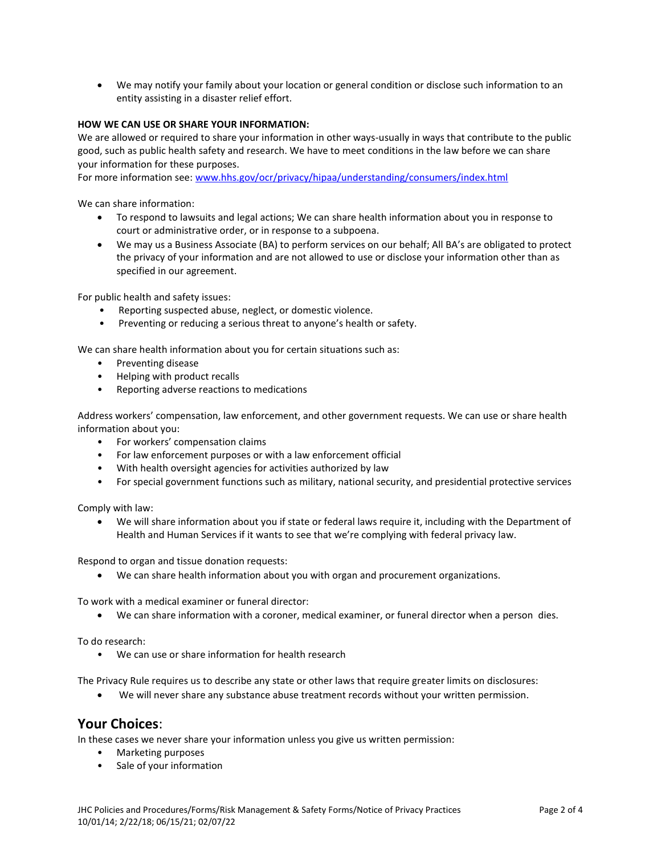We may notify your family about your location or general condition or disclose such information to an entity assisting in a disaster relief effort.

### **HOW WE CAN USE OR SHARE YOUR INFORMATION:**

We are allowed or required to share your information in other ways-usually in ways that contribute to the public good, such as public health safety and research. We have to meet conditions in the law before we can share your information for these purposes.

For more information see: [www.hhs.gov/ocr/privacy/hipaa/understanding/consumers/index.html](http://www.hhs.gov/ocr/privacy/hipaa/understanding/consumers/index.html)

We can share information:

- To respond to lawsuits and legal actions; We can share health information about you in response to court or administrative order, or in response to a subpoena.
- We may us a Business Associate (BA) to perform services on our behalf; All BA's are obligated to protect the privacy of your information and are not allowed to use or disclose your information other than as specified in our agreement.

For public health and safety issues:

- Reporting suspected abuse, neglect, or domestic violence.
- Preventing or reducing a serious threat to anyone's health or safety.

We can share health information about you for certain situations such as:

- Preventing disease
- Helping with product recalls
- Reporting adverse reactions to medications

Address workers' compensation, law enforcement, and other government requests. We can use or share health information about you:

- For workers' compensation claims
- For law enforcement purposes or with a law enforcement official
- With health oversight agencies for activities authorized by law
- For special government functions such as military, national security, and presidential protective services

Comply with law:

 We will share information about you if state or federal laws require it, including with the Department of Health and Human Services if it wants to see that we're complying with federal privacy law.

Respond to organ and tissue donation requests:

We can share health information about you with organ and procurement organizations.

To work with a medical examiner or funeral director:

We can share information with a coroner, medical examiner, or funeral director when a person dies.

To do research:

• We can use or share information for health research

The Privacy Rule requires us to describe any state or other laws that require greater limits on disclosures:

We will never share any substance abuse treatment records without your written permission.

### **Your Choices**:

In these cases we never share your information unless you give us written permission:

- Marketing purposes
- Sale of your information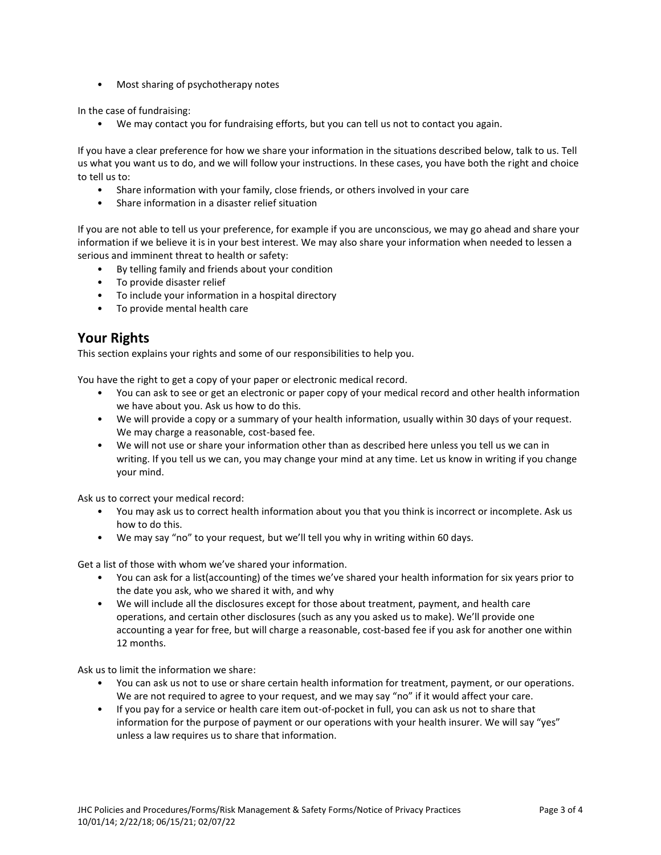• Most sharing of psychotherapy notes

In the case of fundraising:

• We may contact you for fundraising efforts, but you can tell us not to contact you again.

If you have a clear preference for how we share your information in the situations described below, talk to us. Tell us what you want us to do, and we will follow your instructions. In these cases, you have both the right and choice to tell us to:

- Share information with your family, close friends, or others involved in your care
- Share information in a disaster relief situation

If you are not able to tell us your preference, for example if you are unconscious, we may go ahead and share your information if we believe it is in your best interest. We may also share your information when needed to lessen a serious and imminent threat to health or safety:

- By telling family and friends about your condition
- To provide disaster relief
- To include your information in a hospital directory
- To provide mental health care

# **Your Rights**

This section explains your rights and some of our responsibilities to help you.

You have the right to get a copy of your paper or electronic medical record.

- You can ask to see or get an electronic or paper copy of your medical record and other health information we have about you. Ask us how to do this.
- We will provide a copy or a summary of your health information, usually within 30 days of your request. We may charge a reasonable, cost-based fee.
- We will not use or share your information other than as described here unless you tell us we can in writing. If you tell us we can, you may change your mind at any time. Let us know in writing if you change your mind.

Ask us to correct your medical record:

- You may ask us to correct health information about you that you think is incorrect or incomplete. Ask us how to do this.
- We may say "no" to your request, but we'll tell you why in writing within 60 days.

Get a list of those with whom we've shared your information.

- You can ask for a list(accounting) of the times we've shared your health information for six years prior to the date you ask, who we shared it with, and why
- We will include all the disclosures except for those about treatment, payment, and health care operations, and certain other disclosures (such as any you asked us to make). We'll provide one accounting a year for free, but will charge a reasonable, cost-based fee if you ask for another one within 12 months.

Ask us to limit the information we share:

- You can ask us not to use or share certain health information for treatment, payment, or our operations. We are not required to agree to your request, and we may say "no" if it would affect your care.
- If you pay for a service or health care item out-of-pocket in full, you can ask us not to share that information for the purpose of payment or our operations with your health insurer. We will say "yes" unless a law requires us to share that information.